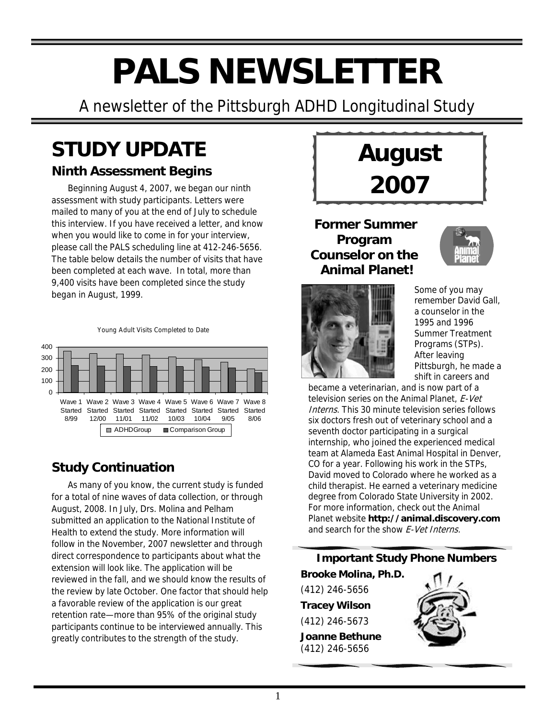# **PALS NEWSLETTER**

A newsletter of the Pittsburgh ADHD Longitudinal Study

# **STUDY UPDATE**

### **Ninth Assessment Begins**

Beginning August 4, 2007, we began our ninth assessment with study participants. Letters were mailed to many of you at the end of July to schedule this interview. If you have received a letter, and know when you would like to come in for your interview, please call the PALS scheduling line at 412-246-5656. The table below details the number of visits that have been completed at each wave. In total, more than 9,400 visits have been completed since the study began in August, 1999.





### **Study Continuation**

As many of you know, the current study is funded for a total of nine waves of data collection, or through August, 2008. In July, Drs. Molina and Pelham submitted an application to the National Institute of Health to extend the study. More information will follow in the November, 2007 newsletter and through direct correspondence to participants about what the extension will look like. The application will be reviewed in the fall, and we should know the results of the review by late October. One factor that should help a favorable review of the application is our great retention rate—more than 95% of the original study participants continue to be interviewed annually. This greatly contributes to the strength of the study.



**Former Summer Program Counselor on the Animal Planet!**



Some of you may remember David Gall, a counselor in the 1995 and 1996 Summer Treatment Programs (STPs). After leaving Pittsburgh, he made a shift in careers and

became a veterinarian, and is now part of a television series on the Animal Planet, F-Vet Interns. This 30 minute television series follows six doctors fresh out of veterinary school and a seventh doctor participating in a surgical internship, who joined the experienced medical team at Alameda East Animal Hospital in Denver, CO for a year. Following his work in the STPs, David moved to Colorado where he worked as a child therapist. He earned a veterinary medicine degree from Colorado State University in 2002. For more information, check out the Animal Planet website **http://animal.discovery.com** and search for the show E-Vet Interns.

### **Important Study Phone Numbers**

**Brooke Molina, Ph.D.**  (412) 246-5656 **Tracey Wilson** (412) 246-5673 **Joanne Bethune** (412) 246-5656

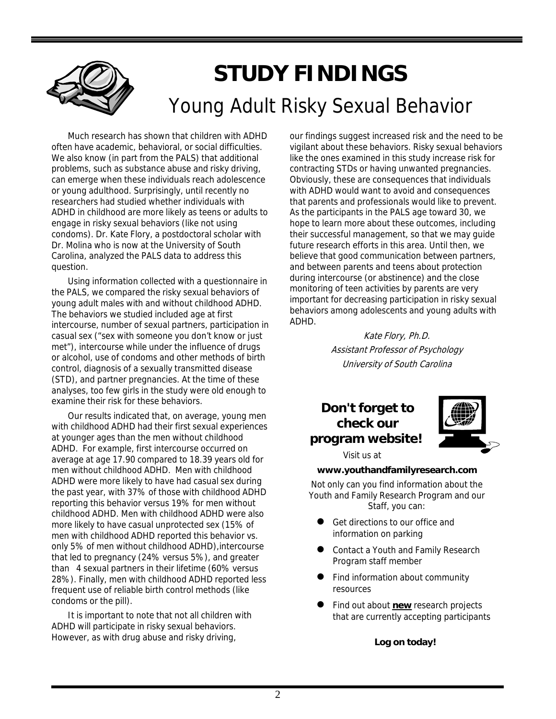# **STUDY FINDINGS** Young Adult Risky Sexual Behavior

Much research has shown that children with ADHD often have academic, behavioral, or social difficulties. We also know (in part from the PALS) that additional problems, such as substance abuse and risky driving, can emerge when these individuals reach adolescence or young adulthood. Surprisingly, until recently no researchers had studied whether individuals with ADHD in childhood are more likely as teens or adults to engage in risky sexual behaviors (like not using condoms). Dr. Kate Flory, a postdoctoral scholar with Dr. Molina who is now at the University of South Carolina, analyzed the PALS data to address this question.

Using information collected with a questionnaire in the PALS, we compared the risky sexual behaviors of young adult males with and without childhood ADHD. The behaviors we studied included age at first intercourse, number of sexual partners, participation in casual sex ("sex with someone you don't know or just met"), intercourse while under the influence of drugs or alcohol, use of condoms and other methods of birth control, diagnosis of a sexually transmitted disease (STD), and partner pregnancies. At the time of these analyses, too few girls in the study were old enough to examine their risk for these behaviors.

Our results indicated that, on average, young men with childhood ADHD had their first sexual experiences at younger ages than the men without childhood ADHD. For example, first intercourse occurred on average at age 17.90 compared to 18.39 years old for men without childhood ADHD. Men with childhood ADHD were more likely to have had casual sex during the past year, with 37% of those with childhood ADHD reporting this behavior versus 19% for men without childhood ADHD. Men with childhood ADHD were also more likely to have casual unprotected sex (15% of men with childhood ADHD reported this behavior vs. only 5% of men without childhood ADHD),intercourse that led to pregnancy (24% versus 5%), and greater than 4 sexual partners in their lifetime (60% versus 28%). Finally, men with childhood ADHD reported less frequent use of reliable birth control methods (like condoms or the pill).

It is important to note that not all children with ADHD will participate in risky sexual behaviors. However, as with drug abuse and risky driving,

our findings suggest increased risk and the need to be vigilant about these behaviors. Risky sexual behaviors like the ones examined in this study increase risk for contracting STDs or having unwanted pregnancies. Obviously, these are consequences that individuals with ADHD would want to avoid and consequences that parents and professionals would like to prevent. As the participants in the PALS age toward 30, we hope to learn more about these outcomes, including their successful management, so that we may guide future research efforts in this area. Until then, we believe that good communication between partners, and between parents and teens about protection during intercourse (or abstinence) and the close monitoring of teen activities by parents are very important for decreasing participation in risky sexual behaviors among adolescents and young adults with ADHD.

> Kate Flory, Ph.D. Assistant Professor of Psychology University of South Carolina

### **Don't forget to check our program website!**



Visit us at

#### **www.youthandfamilyresearch.com**

Not only can you find information about the Youth and Family Research Program and our Staff, you can:

- Get directions to our office and information on parking
- **•** Contact a Youth and Family Research Program staff member
- Find information about community resources
- Find out about **new** research projects that are currently accepting participants

**Log on today!**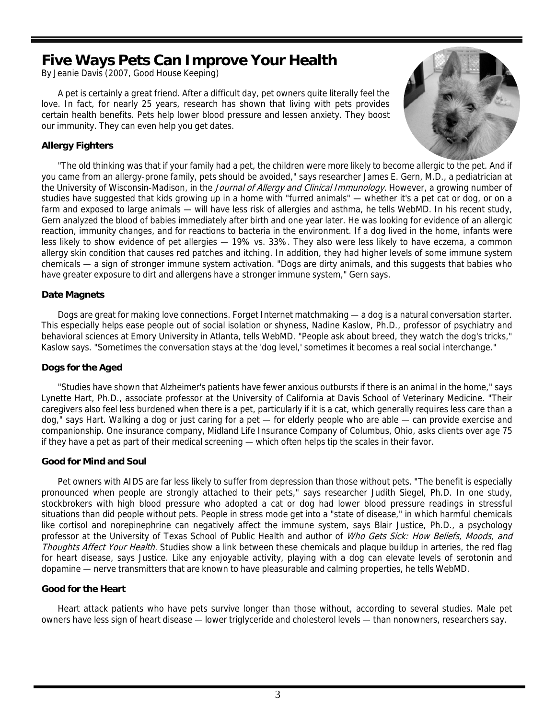### **Five Ways Pets Can Improve Your Health**

By Jeanie Davis (2007, Good House Keeping)

A pet is certainly a great friend. After a difficult day, pet owners quite literally feel the love. In fact, for nearly 25 years, research has shown that living with pets provides certain health benefits. Pets help lower blood pressure and lessen anxiety. They boost our immunity. They can even help you get dates.

### **Allergy Fighters**



"The old thinking was that if your family had a pet, the children were more likely to become allergic to the pet. And if you came from an allergy-prone family, pets should be avoided," says researcher James E. Gern, M.D., a pediatrician at the University of Wisconsin-Madison, in the *Journal of Allergy and Clinical Immunology*. However, a growing number of studies have suggested that kids growing up in a home with "furred animals" — whether it's a pet cat or dog, or on a farm and exposed to large animals — will have less risk of allergies and asthma, he tells WebMD. In his recent study, Gern analyzed the blood of babies immediately after birth and one year later. He was looking for evidence of an allergic reaction, immunity changes, and for reactions to bacteria in the environment. If a dog lived in the home, infants were less likely to show evidence of pet allergies — 19% vs. 33%. They also were less likely to have eczema, a common allergy skin condition that causes red patches and itching. In addition, they had higher levels of some immune system chemicals — a sign of stronger immune system activation. "Dogs are dirty animals, and this suggests that babies who have greater exposure to dirt and allergens have a stronger immune system," Gern says.

#### **Date Magnets**

Dogs are great for making love connections. Forget Internet matchmaking — a dog is a natural conversation starter. This especially helps ease people out of social isolation or shyness, Nadine Kaslow, Ph.D., professor of psychiatry and behavioral sciences at Emory University in Atlanta, tells WebMD. "People ask about breed, they watch the dog's tricks," Kaslow says. "Sometimes the conversation stays at the 'dog level,' sometimes it becomes a real social interchange."

#### **Dogs for the Aged**

"Studies have shown that Alzheimer's patients have fewer anxious outbursts if there is an animal in the home," says Lynette Hart, Ph.D., associate professor at the University of California at Davis School of Veterinary Medicine. "Their caregivers also feel less burdened when there is a pet, particularly if it is a cat, which generally requires less care than a dog," says Hart. Walking a dog or just caring for a pet — for elderly people who are able — can provide exercise and companionship. One insurance company, Midland Life Insurance Company of Columbus, Ohio, asks clients over age 75 if they have a pet as part of their medical screening — which often helps tip the scales in their favor.

#### **Good for Mind and Soul**

Pet owners with AIDS are far less likely to suffer from depression than those without pets. "The benefit is especially pronounced when people are strongly attached to their pets," says researcher Judith Siegel, Ph.D. In one study, stockbrokers with high blood pressure who adopted a cat or dog had lower blood pressure readings in stressful situations than did people without pets. People in stress mode get into a "state of disease," in which harmful chemicals like cortisol and norepinephrine can negatively affect the immune system, says Blair Justice, Ph.D., a psychology professor at the University of Texas School of Public Health and author of Who Gets Sick: How Beliefs, Moods, and Thoughts Affect Your Health. Studies show a link between these chemicals and plaque buildup in arteries, the red flag for heart disease, says Justice. Like any enjoyable activity, playing with a dog can elevate levels of serotonin and dopamine — nerve transmitters that are known to have pleasurable and calming properties, he tells WebMD.

#### **Good for the Heart**

Heart attack patients who have pets survive longer than those without, according to several studies. Male pet owners have less sign of heart disease — lower triglyceride and cholesterol levels — than nonowners, researchers say.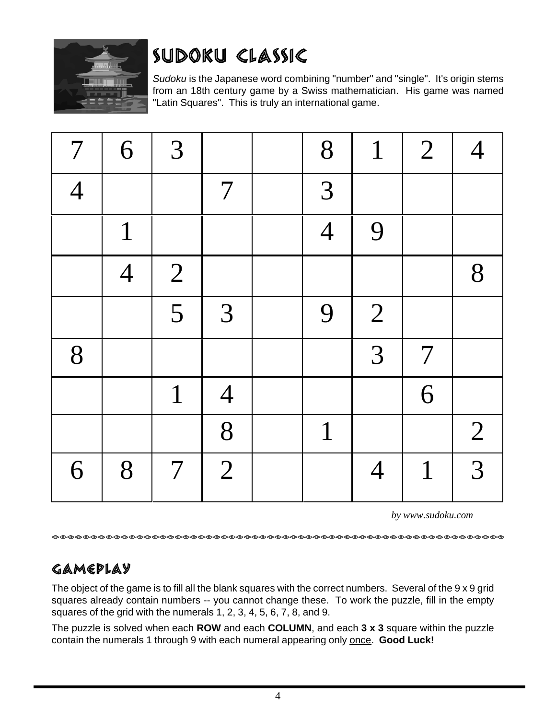

# SUDOKU CLASSIC

*Sudoku* is the Japanese word combining "number" and "single". It's origin stems from an 18th century game by a Swiss mathematician. His game was named "Latin Squares". This is truly an international game.

| $7\phantom{.0}$ | 6              | 3               |                | 8              | $\mathbf{1}$   | $\overline{2}$ |                |
|-----------------|----------------|-----------------|----------------|----------------|----------------|----------------|----------------|
| $\overline{4}$  |                |                 | $\overline{7}$ | 3              |                |                |                |
|                 | $\mathbf{1}$   |                 |                | $\overline{4}$ | 9              |                |                |
|                 | $\overline{4}$ | $\overline{2}$  |                |                |                |                | 8              |
|                 |                | 5               | 3              | 9              | $\overline{2}$ |                |                |
| 8               |                |                 |                |                | 3              | $\overline{7}$ |                |
|                 |                | $\mathbf{1}$    | $\overline{4}$ |                |                | 6              |                |
|                 |                |                 | 8              | $\mathbf{1}$   |                |                | $\overline{2}$ |
| 6               | 8              | $7\phantom{.0}$ | $\overline{2}$ |                | $\overline{4}$ | 1              | 3              |

*by www.sudoku.com*

### GAMEPLAY

The object of the game is to fill all the blank squares with the correct numbers. Several of the 9 x 9 grid squares already contain numbers -- you cannot change these. To work the puzzle, fill in the empty squares of the grid with the numerals 1, 2, 3, 4, 5, 6, 7, 8, and 9.

The puzzle is solved when each **ROW** and each **COLUMN**, and each **3 x 3** square within the puzzle contain the numerals 1 through 9 with each numeral appearing only once. **Good Luck!**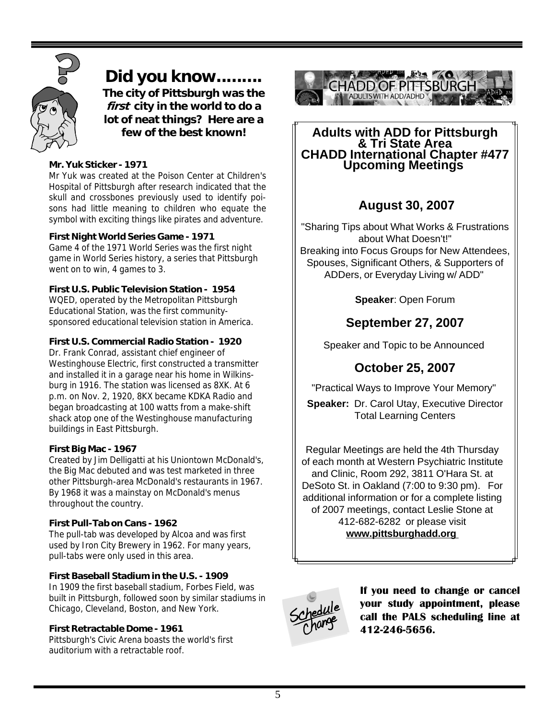

**Did you know......... The city of Pittsburgh was the first city in the world to do a lot of neat things? Here are a few of the best known!**

### **Mr. Yuk Sticker - 1971**

Mr Yuk was created at the Poison Center at Children's Hospital of Pittsburgh after research indicated that the skull and crossbones previously used to identify poisons had little meaning to children who equate the symbol with exciting things like pirates and adventure.

### **First Night World Series Game - 1971**

Game 4 of the 1971 World Series was the first night game in World Series history, a series that Pittsburgh went on to win, 4 games to 3.

### **First U.S. Public Television Station - 1954**

WQED, operated by the Metropolitan Pittsburgh Educational Station, was the first communitysponsored educational television station in America.

### **First U.S. Commercial Radio Station - 1920**

Dr. Frank Conrad, assistant chief engineer of Westinghouse Electric, first constructed a transmitter and installed it in a garage near his home in Wilkinsburg in 1916. The station was licensed as 8XK. At 6 p.m. on Nov. 2, 1920, 8KX became KDKA Radio and began broadcasting at 100 watts from a make-shift shack atop one of the Westinghouse manufacturing buildings in East Pittsburgh.

#### **First Big Mac - 1967**

Created by Jim Delligatti at his Uniontown McDonald's, the Big Mac debuted and was test marketed in three other Pittsburgh-area McDonald's restaurants in 1967. By 1968 it was a mainstay on McDonald's menus throughout the country.

#### **First Pull-Tab on Cans - 1962**

The pull-tab was developed by Alcoa and was first used by Iron City Brewery in 1962. For many years, pull-tabs were only used in this area.

#### **First Baseball Stadium in the U.S. - 1909**

In 1909 the first baseball stadium, Forbes Field, was built in Pittsburgh, followed soon by similar stadiums in Chicago, Cleveland, Boston, and New York.

### **First Retractable Dome - 1961**

Pittsburgh's Civic Arena boasts the world's first auditorium with a retractable roof.



## **Adults with ADD for Pittsburgh & Tri State Area CHADD International Chapter #477 Upcoming Meetings**

### **August 30, 2007**

"Sharing Tips about What Works & Frustrations about What Doesn't!" Breaking into Focus Groups for New Attendees, Spouses, Significant Others, & Supporters of ADDers, or Everyday Living w/ ADD"

**Speaker**: Open Forum

### **September 27, 2007**

Speaker and Topic to be Announced

### **October 25, 2007**

"Practical Ways to Improve Your Memory"

**Speaker:** Dr. Carol Utay, Executive Director Total Learning Centers

Regular Meetings are held the 4th Thursday of each month at Western Psychiatric Institute and Clinic, Room 292, 3811 O'Hara St. at DeSoto St. in Oakland (7:00 to 9:30 pm). For additional information or for a complete listing of 2007 meetings, contact Leslie Stone at 412-682-6282 or please visit **www.pittsburghadd.org**



**If you need to change or cancel your study appointment, please call the PALS scheduling line at 412-246-5656.**